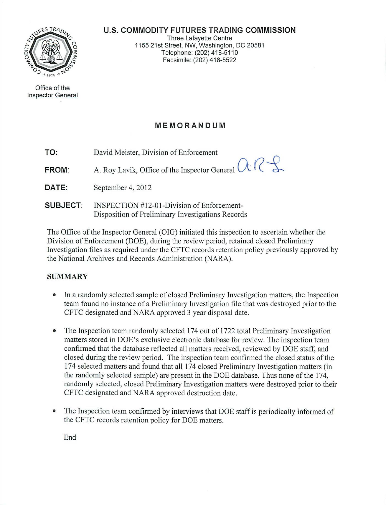#### **U.S. COMMODITY FUTURES TRADING COMMISSION**



Office of the Inspector General

Three Lafayette Centre 1155 21st Street, NW, Washington, DC 20581 Telephone: (202) 418-51 10 Facsimile: (202) 418-5522

# **MEMORANDUM**

**TO:**  David Meister, Division of Enforcement

**FROM:**  A. Roy Lavik, Office of the Inspector General  $\alpha$   $\beta$ 

- **DATE:**  September 4, 2012
- **SUBJECT:**  INSPECTION #12-01-Division of Enforcement-Disposition of Preliminary Investigations Records

The Office of the Inspector General (OIG) initiated this inspection to ascertain whether the Division of Enforcement (DOE), during the review period, retained closed Preliminary Investigation files as required under the CFTC records retention policy previously approved by the National Archives and Records Administration (NARA).

## **SUMMARY**

- In a randomly selected sample of closed Preliminary Investigation matters, the Inspection team found no instance of a Preliminary Investigation file that was destroyed prior to the CFTC designated and NARA approved 3 year disposal date.
- The Inspection team randomly selected 174 out of 1722 total Preliminary Investigation matters stored in DOE's exclusive electronic database for review. The inspection team confirmed that the database reflected all matters received, reviewed by DOE staff, and closed during the review period. The inspection team confirmed the closed status of the 174 selected matters and found that all 174 closed Preliminary Investigation matters (in the randomly selected sample) are present in the DOE database. Thus none of the 174, randomly selected, closed Preliminary Investigation matters were destroyed prior to their CFTC designated and NARA approved destruction date.
- The Inspection team confirmed by interviews that DOE staff is periodically informed of the CFTC records retention policy for DOE matters.

End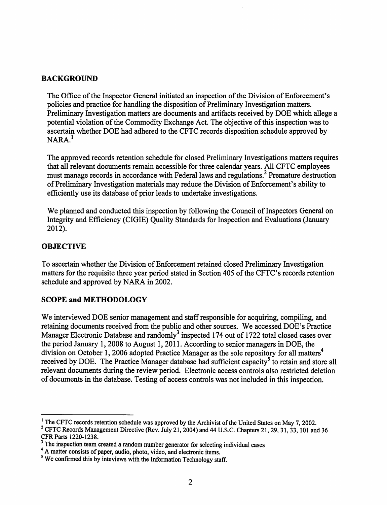#### BACKGROUND

The Office of the Inspector General initiated an inspection of the Division of Enforcement's policies and practice for handling the disposition of Preliminary Investigation matters. Preliminary Investigation matters are documents and artifacts received by DOE which allege a potential violation of the Commodity Exchange Act. The objective of this inspection was to ascertain whether DOE had adhered to the CFTC records disposition schedule approved by  $NARA<sup>1</sup>$ 

The approved records retention schedule for closed Preliminary Investigations matters requires that all relevant documents remain accessible for three calendar years. All CFTC employees must manage records in accordance with Federal laws and regulations.<sup>2</sup> Premature destruction of Preliminary Investigation materials may reduce the Division of Enforcement's ability to efficiently use its database of prior leads to undertake investigations.

We planned and conducted this inspection by following the Council of Inspectors General on Integrity and Efficiency (CIGIE) Quality Standards for Inspection and Evaluations (January 2012).

## **OBJECTIVE**

To ascertain whether the Division of Enforcement retained closed Preliminary Investigation matters for the requisite three year period stated in Section 405 of the CFTC's records retention schedule and approved by NARA in 2002.

## SCOPE and METHODOLOGY

We interviewed DOE senior management and staff responsible for acquiring, compiling, and retaining documents received from the public and other sources. We accessed DOE's Practice Manager Electronic Database and randomly<sup>3</sup> inspected 174 out of 1722 total closed cases over the period January 1, 2008 to August 1, 2011. According to senior managers in DOE, the division on October 1, 2006 adopted Practice Manager as the sole repository for all matters<sup>4</sup> received by DOE. The Practice Manager database had sufficient capacity<sup>5</sup> to retain and store all relevant documents during the review period. Electronic access controls also restricted deletion of documents in the database. Testing of access controls was not included in this inspection.

<sup>&</sup>lt;sup>1</sup> The CFTC records retention schedule was approved by the Archivist of the United States on May 7, 2002.

<sup>&</sup>lt;sup>2</sup> CFTC Records Management Directive (Rev. July 21, 2004) and 44 U.S.C. Chapters 21, 29, 31, 33, 101 and 36 CFR Parts 1220-1238.

<sup>&</sup>lt;sup>3</sup> The inspection team created a random number generator for selecting individual cases

<sup>&</sup>lt;sup>4</sup> A matter consists of paper, audio, photo, video, and electronic items.

<sup>&</sup>lt;sup>5</sup> We confirmed this by inteviews with the Information Technology staff.